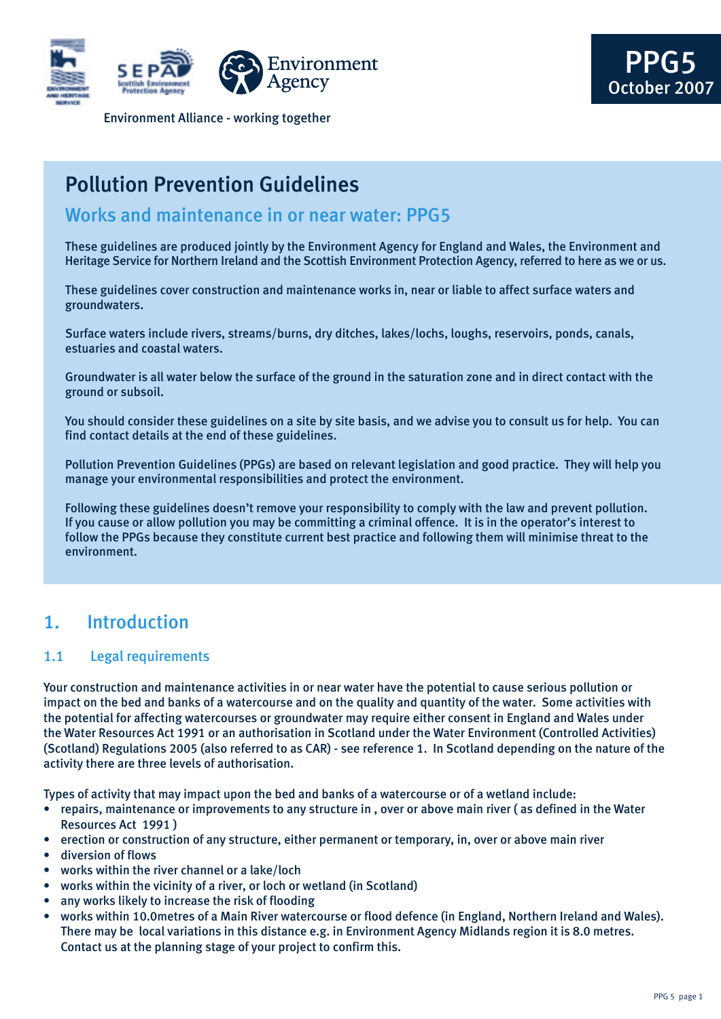



Environment Alliance - working together

# Pollution Prevention Guidelines

## Works and maintenance in or near water: PPG5

These guidelines are produced jointly by the Environment Agency for England and Wales, the Environment and Heritage Service for Northern Ireland and the Scottish Environment Protection Agency, referred to here as we or us.

These guidelines cover construction and maintenance works in, near or liable to affect surface waters and groundwaters.

Surface waters include rivers, streams/burns, dry ditches, lakes/lochs, loughs, reservoirs, ponds, canals, estuaries and coastal waters.

Groundwater is all water below the surface of the ground in the saturation zone and in direct contact with the ground or subsoil.

You should consider these guidelines on a site by site basis, and we advise you to consult us for help. You can find contact details at the end of these guidelines.

Pollution Prevention Guidelines (PPGs) are based on relevant legislation and good practice. They will help you manage your environmental responsibilities and protect the environment.

Following these guidelines doesn't remove your responsibility to comply with the law and prevent pollution. If you cause or allow pollution you may be committing a criminal offence. It is in the operator's interest to follow the PPGs because they constitute current best practice and following them will minimise threat to the environment.

## 1. Introduction

## 1.1 Legal requirements

Your construction and maintenance activities in or near water have the potential to cause serious pollution or impact on the bed and banks of a watercourse and on the quality and quantity of the water. Some activities with the potential for affecting watercourses or groundwater may require either consent in England and Wales under the Water Resources Act 1991 or an authorisation in Scotland under the Water Environment (Controlled Activities) (Scotland) Regulations 2005 (also referred to as CAR) - see reference 1. In Scotland depending on the nature of the activity there are three levels of authorisation.

Types of activity that may impact upon the bed and banks of a watercourse or of a wetland include:

- repairs, maintenance or improvements to any structure in , over or above main river ( as defined in the Water Resources Act 1991 )
- erection or construction of any structure, either permanent or temporary, in, over or above main river
- diversion of flows
- works within the river channel or a lake/loch
- works within the vicinity of a river, or loch or wetland (in Scotland)
- any works likely to increase the risk of flooding
- works within 10.0metres of a Main River watercourse or flood defence (in England, Northern Ireland and Wales). There may be local variations in this distance e.g. in Environment Agency Midlands region it is 8.0 metres. Contact us at the planning stage of your project to confirm this.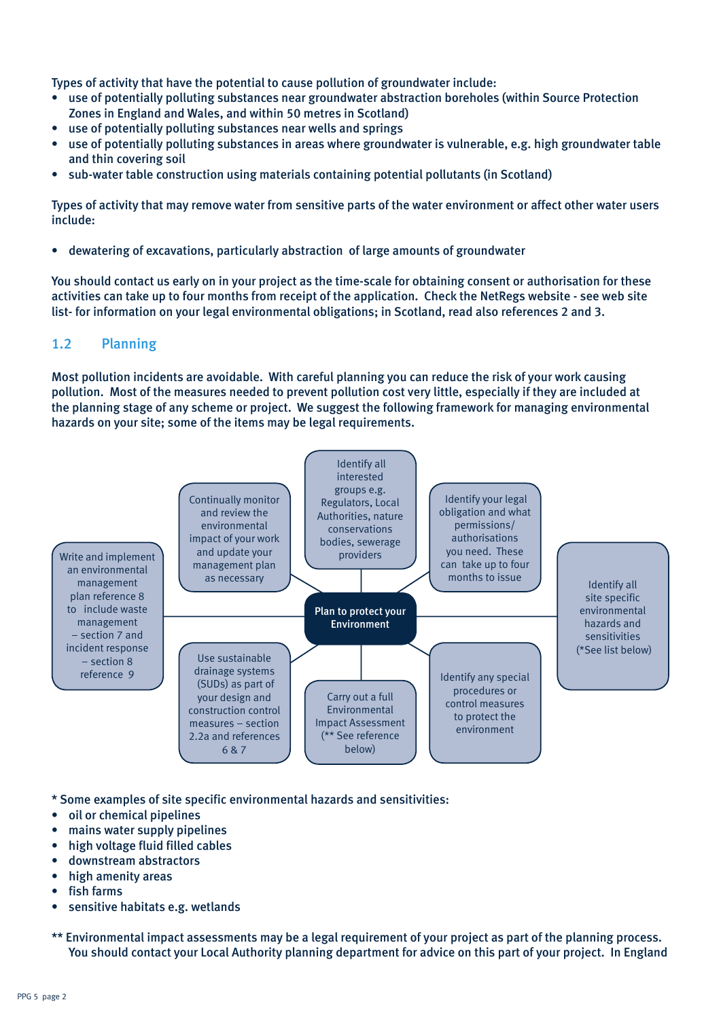Types of activity that have the potential to cause pollution of groundwater include:

- use of potentially polluting substances near groundwater abstraction boreholes (within Source Protection Zones in England and Wales, and within 50 metres in Scotland)
- use of potentially polluting substances near wells and springs
- use of potentially polluting substances in areas where groundwater is vulnerable, e.g. high groundwater table and thin covering soil
- sub-water table construction using materials containing potential pollutants (in Scotland)

Types of activity that may remove water from sensitive parts of the water environment or affect other water users include:

• dewatering of excavations, particularly abstraction of large amounts of groundwater

You should contact us early on in your project as the time-scale for obtaining consent or authorisation for these activities can take up to four months from receipt of the application. Check the NetRegs website - see web site list- for information on your legal environmental obligations; in Scotland, read also references 2 and 3.

## 1.2 Planning

Most pollution incidents are avoidable. With careful planning you can reduce the risk of your work causing pollution. Most of the measures needed to prevent pollution cost very little, especially if they are included at the planning stage of any scheme or project. We suggest the following framework for managing environmental hazards on your site; some of the items may be legal requirements.



\* Some examples of site specific environmental hazards and sensitivities:

- oil or chemical pipelines
- mains water supply pipelines
- high voltage fluid filled cables
- downstream abstractors
- high amenity areas
- fish farms
- sensitive habitats e.g. wetlands
- \*\* Environmental impact assessments may be a legal requirement of your project as part of the planning process. You should contact your Local Authority planning department for advice on this part of your project. In England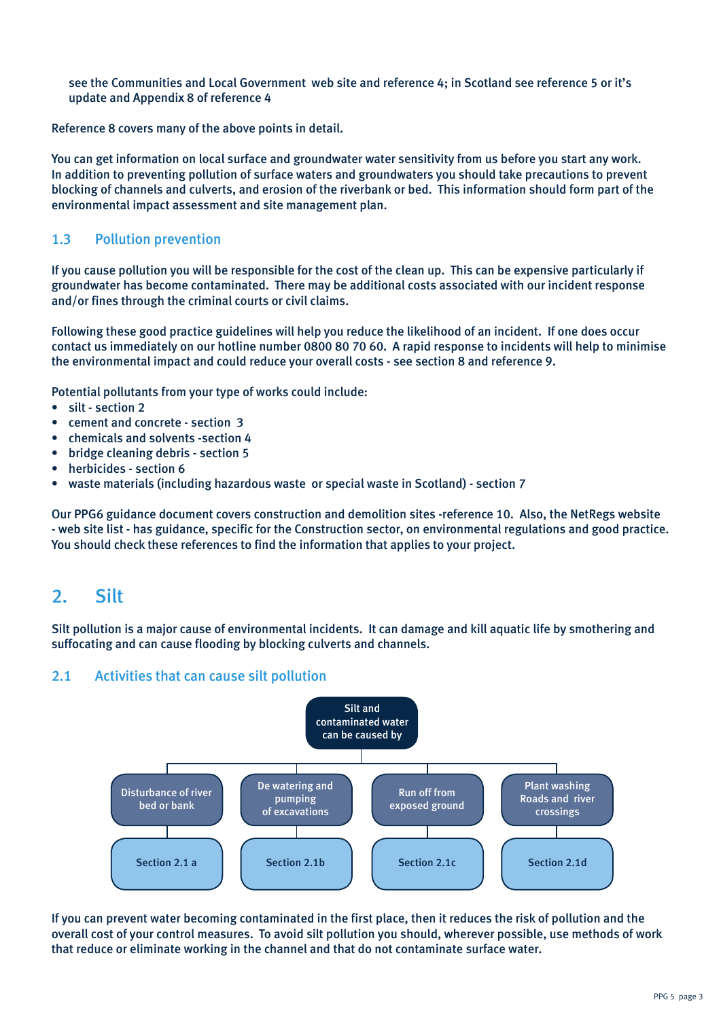see the Communities and Local Government web site and reference 4; in Scotland see reference 5 or it's update and Appendix 8 of reference 4

Reference 8 covers many of the above points in detail.

You can get information on local surface and groundwater water sensitivity from us before you start any work. In addition to preventing pollution of surface waters and groundwaters you should take precautions to prevent blocking of channels and culverts, and erosion of the riverbank or bed. This information should form part of the environmental impact assessment and site management plan.

## 1.3 Pollution prevention

If you cause pollution you will be responsible for the cost of the clean up. This can be expensive particularly if groundwater has become contaminated. There may be additional costs associated with our incident response and/or fines through the criminal courts or civil claims.

Following these good practice guidelines will help you reduce the likelihood of an incident. If one does occur contact us immediately on our hotline number 0800 80 70 60. A rapid response to incidents will help to minimise the environmental impact and could reduce your overall costs - see section 8 and reference 9.

Potential pollutants from your type of works could include:

- silt section 2
- cement and concrete section 3
- chemicals and solvents -section 4
- bridge cleaning debris section 5
- herbicides section 6
- waste materials (including hazardous waste or special waste in Scotland) section 7

Our PPG6 guidance document covers construction and demolition sites -reference 10. Also, the NetRegs website - web site list - has guidance, specific for the Construction sector, on environmental regulations and good practice. You should check these references to find the information that applies to your project.

## 2. Silt

Silt pollution is a major cause of environmental incidents. It can damage and kill aquatic life by smothering and suffocating and can cause flooding by blocking culverts and channels.

## 2.1 Activities that can cause silt pollution



If you can prevent water becoming contaminated in the first place, then it reduces the risk of pollution and the overall cost of your control measures. To avoid silt pollution you should, wherever possible, use methods of work that reduce or eliminate working in the channel and that do not contaminate surface water.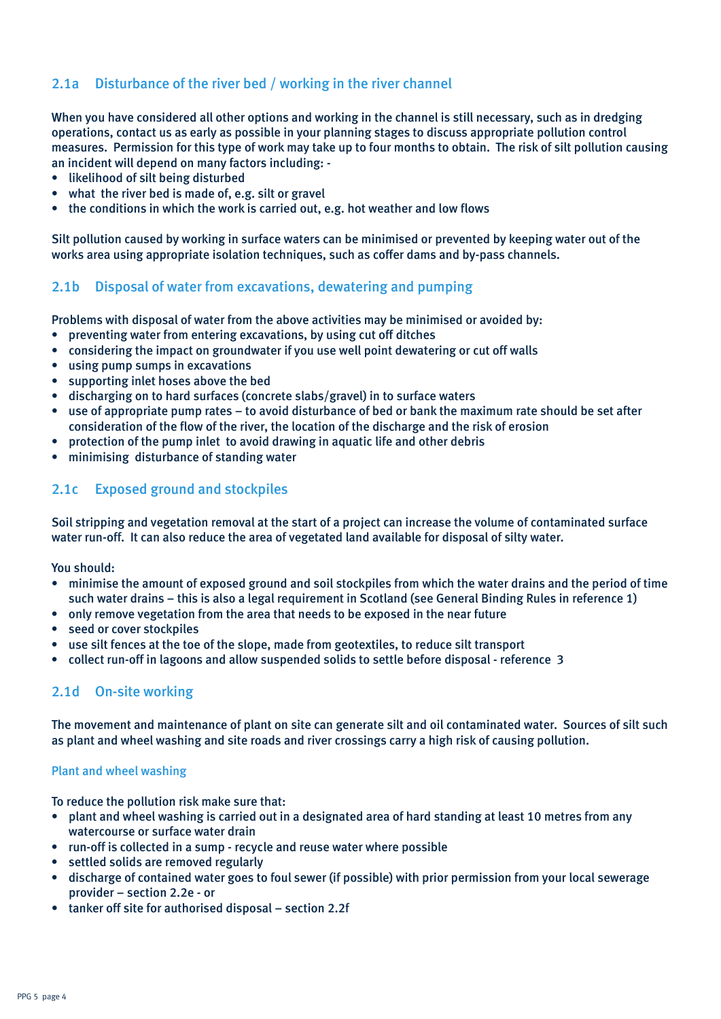## 2.1a Disturbance of the river bed / working in the river channel

When you have considered all other options and working in the channel is still necessary, such as in dredging operations, contact us as early as possible in your planning stages to discuss appropriate pollution control measures. Permission for this type of work may take up to four months to obtain. The risk of silt pollution causing an incident will depend on many factors including: -

- likelihood of silt being disturbed
- what the river bed is made of, e.g. silt or gravel
- the conditions in which the work is carried out, e.g. hot weather and low flows

Silt pollution caused by working in surface waters can be minimised or prevented by keeping water out of the works area using appropriate isolation techniques, such as coffer dams and by-pass channels.

## 2.1b Disposal of water from excavations, dewatering and pumping

Problems with disposal of water from the above activities may be minimised or avoided by:

- preventing water from entering excavations, by using cut off ditches
- considering the impact on groundwater if you use well point dewatering or cut off walls
- using pump sumps in excavations
- supporting inlet hoses above the bed
- discharging on to hard surfaces (concrete slabs/gravel) in to surface waters
- use of appropriate pump rates to avoid disturbance of bed or bank the maximum rate should be set after consideration of the flow of the river, the location of the discharge and the risk of erosion
- protection of the pump inlet to avoid drawing in aquatic life and other debris
- minimising disturbance of standing water

### 2.1c Exposed ground and stockpiles

Soil stripping and vegetation removal at the start of a project can increase the volume of contaminated surface water run-off. It can also reduce the area of vegetated land available for disposal of silty water.

You should:

- minimise the amount of exposed ground and soil stockpiles from which the water drains and the period of time such water drains – this is also a legal requirement in Scotland (see General Binding Rules in reference 1)
- only remove vegetation from the area that needs to be exposed in the near future
- seed or cover stockpiles
- use silt fences at the toe of the slope, made from geotextiles, to reduce silt transport
- collect run-off in lagoons and allow suspended solids to settle before disposal reference 3

## 2.1d On-site working

The movement and maintenance of plant on site can generate silt and oil contaminated water. Sources of silt such as plant and wheel washing and site roads and river crossings carry a high risk of causing pollution.

#### Plant and wheel washing

To reduce the pollution risk make sure that:

- plant and wheel washing is carried out in a designated area of hard standing at least 10 metres from any watercourse or surface water drain
- run-off is collected in a sump recycle and reuse water where possible
- settled solids are removed regularly
- discharge of contained water goes to foul sewer (if possible) with prior permission from your local sewerage provider – section 2.2e - or
- tanker off site for authorised disposal section 2.2f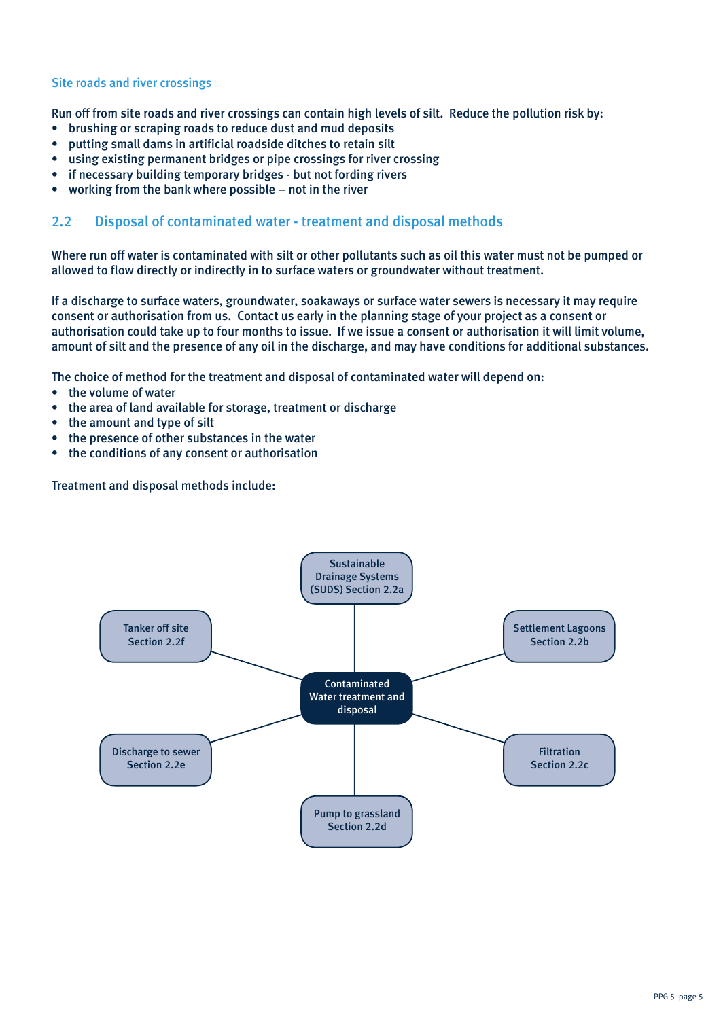#### Site roads and river crossings

Run off from site roads and river crossings can contain high levels of silt. Reduce the pollution risk by:

- brushing or scraping roads to reduce dust and mud deposits
- putting small dams in artificial roadside ditches to retain silt
- using existing permanent bridges or pipe crossings for river crossing
- if necessary building temporary bridges but not fording rivers
- working from the bank where possible not in the river

### 2.2 Disposal of contaminated water - treatment and disposal methods

Where run off water is contaminated with silt or other pollutants such as oil this water must not be pumped or allowed to flow directly or indirectly in to surface waters or groundwater without treatment.

If a discharge to surface waters, groundwater, soakaways or surface water sewers is necessary it may require consent or authorisation from us. Contact us early in the planning stage of your project as a consent or authorisation could take up to four months to issue. If we issue a consent or authorisation it will limit volume, amount of silt and the presence of any oil in the discharge, and may have conditions for additional substances.

The choice of method for the treatment and disposal of contaminated water will depend on:

- the volume of water
- the area of land available for storage, treatment or discharge
- the amount and type of silt
- the presence of other substances in the water
- the conditions of any consent or authorisation

Treatment and disposal methods include:

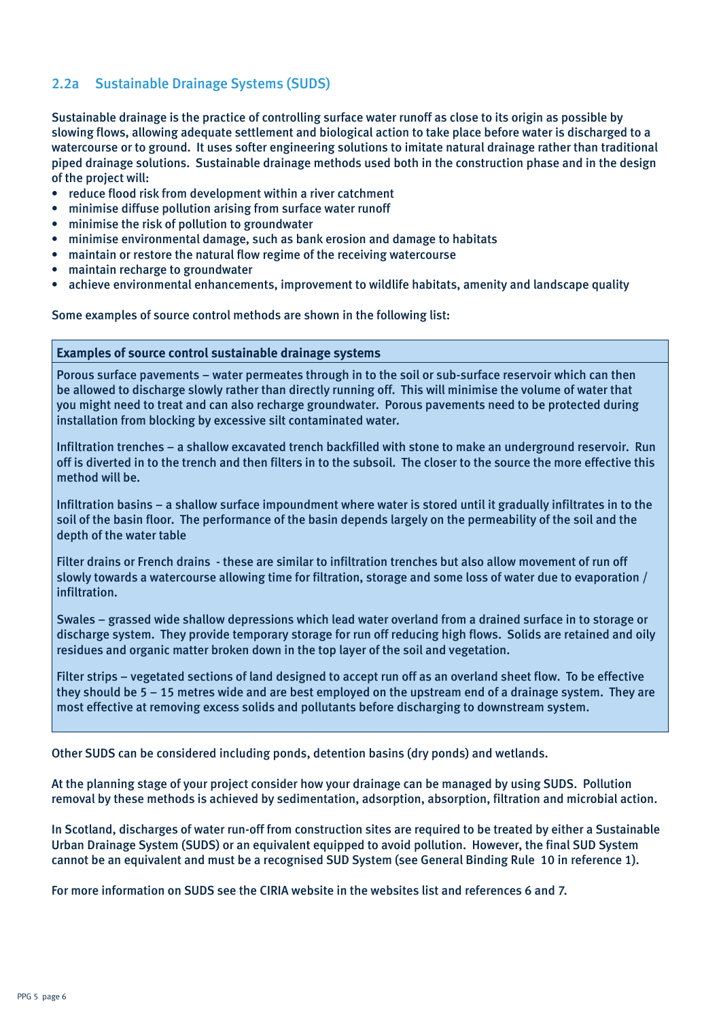## 2.2a Sustainable Drainage Systems (SUDS)

Sustainable drainage is the practice of controlling surface water runoff as close to its origin as possible by slowing flows, allowing adequate settlement and biological action to take place before water is discharged to a watercourse or to ground. It uses softer engineering solutions to imitate natural drainage rather than traditional piped drainage solutions. Sustainable drainage methods used both in the construction phase and in the design of the project will:

- reduce flood risk from development within a river catchment
- minimise diffuse pollution arising from surface water runoff
- minimise the risk of pollution to groundwater
- minimise environmental damage, such as bank erosion and damage to habitats
- maintain or restore the natural flow regime of the receiving watercourse
- maintain recharge to groundwater
- achieve environmental enhancements, improvement to wildlife habitats, amenity and landscape quality

Some examples of source control methods are shown in the following list:

#### **Examples of source control sustainable drainage systems**

Porous surface pavements – water permeates through in to the soil or sub-surface reservoir which can then be allowed to discharge slowly rather than directly running off. This will minimise the volume of water that you might need to treat and can also recharge groundwater. Porous pavements need to be protected during installation from blocking by excessive silt contaminated water.

Infiltration trenches – a shallow excavated trench backfilled with stone to make an underground reservoir. Run off is diverted in to the trench and then filters in to the subsoil. The closer to the source the more effective this method will be.

Infiltration basins – a shallow surface impoundment where water is stored until it gradually infiltrates in to the soil of the basin floor. The performance of the basin depends largely on the permeability of the soil and the depth of the water table

Filter drains or French drains - these are similar to infiltration trenches but also allow movement of run off slowly towards a watercourse allowing time for filtration, storage and some loss of water due to evaporation / infiltration.

Swales – grassed wide shallow depressions which lead water overland from a drained surface in to storage or discharge system. They provide temporary storage for run off reducing high flows. Solids are retained and oily residues and organic matter broken down in the top layer of the soil and vegetation.

Filter strips – vegetated sections of land designed to accept run off as an overland sheet flow. To be effective they should be 5 – 15 metres wide and are best employed on the upstream end of a drainage system. They are most effective at removing excess solids and pollutants before discharging to downstream system.

Other SUDS can be considered including ponds, detention basins (dry ponds) and wetlands.

At the planning stage of your project consider how your drainage can be managed by using SUDS. Pollution removal by these methods is achieved by sedimentation, adsorption, absorption, filtration and microbial action.

In Scotland, discharges of water run-off from construction sites are required to be treated by either a Sustainable Urban Drainage System (SUDS) or an equivalent equipped to avoid pollution. However, the final SUD System cannot be an equivalent and must be a recognised SUD System (see General Binding Rule 10 in reference 1).

For more information on SUDS see the CIRIA website in the websites list and references 6 and 7.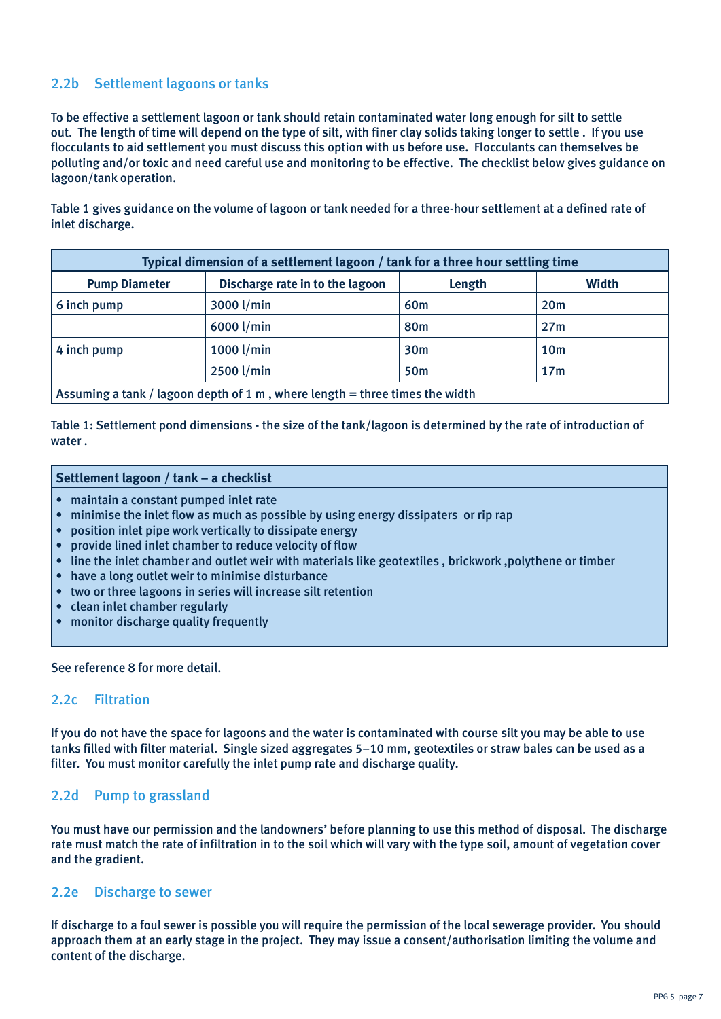## 2.2b Settlement lagoons or tanks

To be effective a settlement lagoon or tank should retain contaminated water long enough for silt to settle out. The length of time will depend on the type of silt, with finer clay solids taking longer to settle . If you use flocculants to aid settlement you must discuss this option with us before use. Flocculants can themselves be polluting and/or toxic and need careful use and monitoring to be effective. The checklist below gives guidance on lagoon/tank operation.

Table 1 gives guidance on the volume of lagoon or tank needed for a three-hour settlement at a defined rate of inlet discharge.

| Typical dimension of a settlement lagoon / tank for a three hour settling time |                                 |                 |                 |
|--------------------------------------------------------------------------------|---------------------------------|-----------------|-----------------|
| <b>Pump Diameter</b>                                                           | Discharge rate in to the lagoon | Length          | Width           |
| 6 inch pump                                                                    | 3000 l/min                      | 60 <sub>m</sub> | 20 <sub>m</sub> |
|                                                                                | 6000 l/min                      | 80 <sub>m</sub> | 27m             |
| 4 inch pump                                                                    | 1000 l/min                      | 30 <sub>m</sub> | 10 <sub>m</sub> |
|                                                                                | 2500 l/min                      | <b>50m</b>      | 17 <sub>m</sub> |
| Assuming a tank / lagoon depth of 1 m, where length = three times the width    |                                 |                 |                 |

Table 1: Settlement pond dimensions - the size of the tank/lagoon is determined by the rate of introduction of water .

#### **Settlement lagoon / tank – a checklist**

- maintain a constant pumped inlet rate
- minimise the inlet flow as much as possible by using energy dissipaters or rip rap
- position inlet pipe work vertically to dissipate energy
- provide lined inlet chamber to reduce velocity of flow
- line the inlet chamber and outlet weir with materials like geotextiles , brickwork ,polythene or timber
- have a long outlet weir to minimise disturbance
- two or three lagoons in series will increase silt retention
- clean inlet chamber regularly
- monitor discharge quality frequently

See reference 8 for more detail.

#### 2.2c Filtration

If you do not have the space for lagoons and the water is contaminated with course silt you may be able to use tanks filled with filter material. Single sized aggregates 5–10 mm, geotextiles or straw bales can be used as a filter. You must monitor carefully the inlet pump rate and discharge quality.

### 2.2d Pump to grassland

You must have our permission and the landowners' before planning to use this method of disposal. The discharge rate must match the rate of infiltration in to the soil which will vary with the type soil, amount of vegetation cover and the gradient.

#### 2.2e Discharge to sewer

If discharge to a foul sewer is possible you will require the permission of the local sewerage provider. You should approach them at an early stage in the project. They may issue a consent/authorisation limiting the volume and content of the discharge.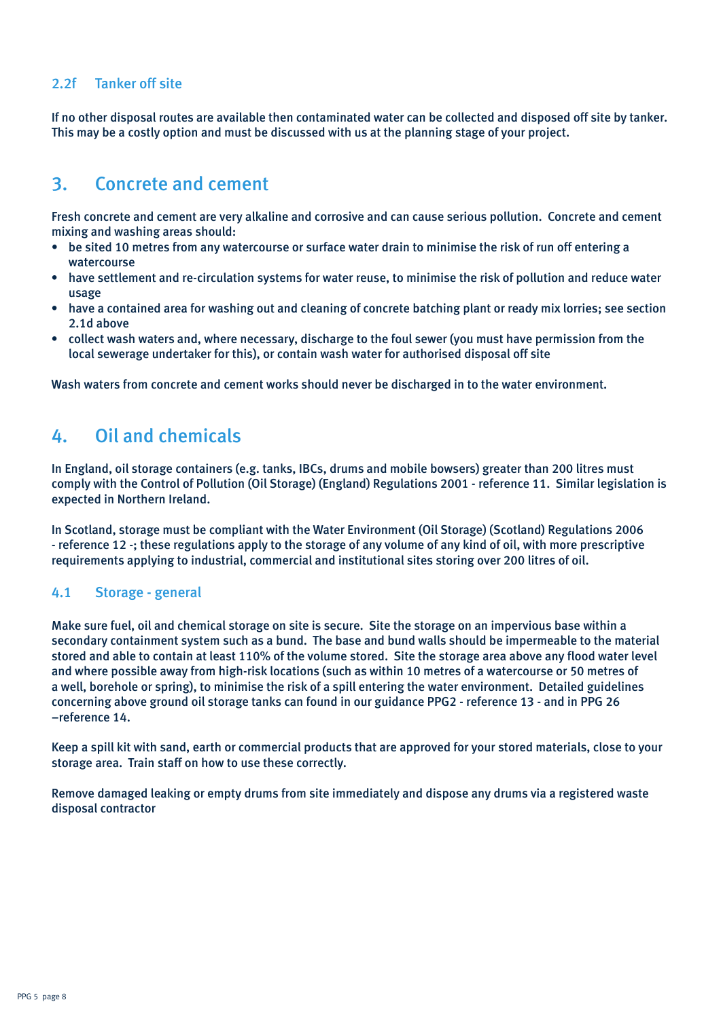## 2.2f Tanker off site

If no other disposal routes are available then contaminated water can be collected and disposed off site by tanker. This may be a costly option and must be discussed with us at the planning stage of your project.

## 3. Concrete and cement

Fresh concrete and cement are very alkaline and corrosive and can cause serious pollution. Concrete and cement mixing and washing areas should:

- be sited 10 metres from any watercourse or surface water drain to minimise the risk of run off entering a watercourse
- have settlement and re-circulation systems for water reuse, to minimise the risk of pollution and reduce water usage
- have a contained area for washing out and cleaning of concrete batching plant or ready mix lorries; see section 2.1d above
- collect wash waters and, where necessary, discharge to the foul sewer (you must have permission from the local sewerage undertaker for this), or contain wash water for authorised disposal off site

Wash waters from concrete and cement works should never be discharged in to the water environment.

## 4. Oil and chemicals

In England, oil storage containers (e.g. tanks, IBCs, drums and mobile bowsers) greater than 200 litres must comply with the Control of Pollution (Oil Storage) (England) Regulations 2001 - reference 11. Similar legislation is expected in Northern Ireland.

In Scotland, storage must be compliant with the Water Environment (Oil Storage) (Scotland) Regulations 2006 - reference 12 -; these regulations apply to the storage of any volume of any kind of oil, with more prescriptive requirements applying to industrial, commercial and institutional sites storing over 200 litres of oil.

### 4.1 Storage - general

Make sure fuel, oil and chemical storage on site is secure. Site the storage on an impervious base within a secondary containment system such as a bund. The base and bund walls should be impermeable to the material stored and able to contain at least 110% of the volume stored. Site the storage area above any flood water level and where possible away from high-risk locations (such as within 10 metres of a watercourse or 50 metres of a well, borehole or spring), to minimise the risk of a spill entering the water environment. Detailed guidelines concerning above ground oil storage tanks can found in our guidance PPG2 - reference 13 - and in PPG 26 –reference 14.

Keep a spill kit with sand, earth or commercial products that are approved for your stored materials, close to your storage area. Train staff on how to use these correctly.

Remove damaged leaking or empty drums from site immediately and dispose any drums via a registered waste disposal contractor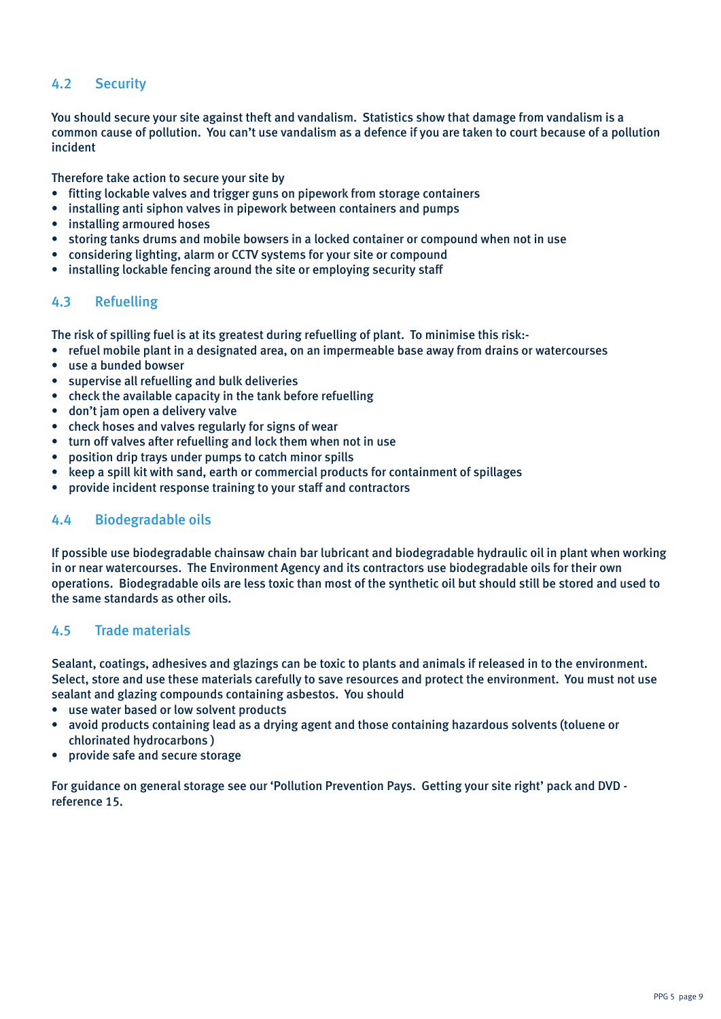## 4.2 Security

You should secure your site against theft and vandalism. Statistics show that damage from vandalism is a common cause of pollution. You can't use vandalism as a defence if you are taken to court because of a pollution incident

Therefore take action to secure your site by

- fitting lockable valves and trigger guns on pipework from storage containers
- installing anti siphon valves in pipework between containers and pumps
- installing armoured hoses
- storing tanks drums and mobile bowsers in a locked container or compound when not in use
- considering lighting, alarm or CCTV systems for your site or compound
- installing lockable fencing around the site or employing security staff

### 4.3 Refuelling

The risk of spilling fuel is at its greatest during refuelling of plant. To minimise this risk:-

- refuel mobile plant in a designated area, on an impermeable base away from drains or watercourses
- use a bunded bowser
- supervise all refuelling and bulk deliveries
- check the available capacity in the tank before refuelling
- don't jam open a delivery valve
- check hoses and valves regularly for signs of wear
- turn off valves after refuelling and lock them when not in use
- position drip trays under pumps to catch minor spills
- keep a spill kit with sand, earth or commercial products for containment of spillages
- provide incident response training to your staff and contractors

## 4.4 Biodegradable oils

If possible use biodegradable chainsaw chain bar lubricant and biodegradable hydraulic oil in plant when working in or near watercourses. The Environment Agency and its contractors use biodegradable oils for their own operations. Biodegradable oils are less toxic than most of the synthetic oil but should still be stored and used to the same standards as other oils.

### 4.5 Trade materials

Sealant, coatings, adhesives and glazings can be toxic to plants and animals if released in to the environment. Select, store and use these materials carefully to save resources and protect the environment. You must not use sealant and glazing compounds containing asbestos. You should

- use water based or low solvent products
- avoid products containing lead as a drying agent and those containing hazardous solvents (toluene or chlorinated hydrocarbons )
- provide safe and secure storage

For guidance on general storage see our 'Pollution Prevention Pays. Getting your site right' pack and DVD reference 15.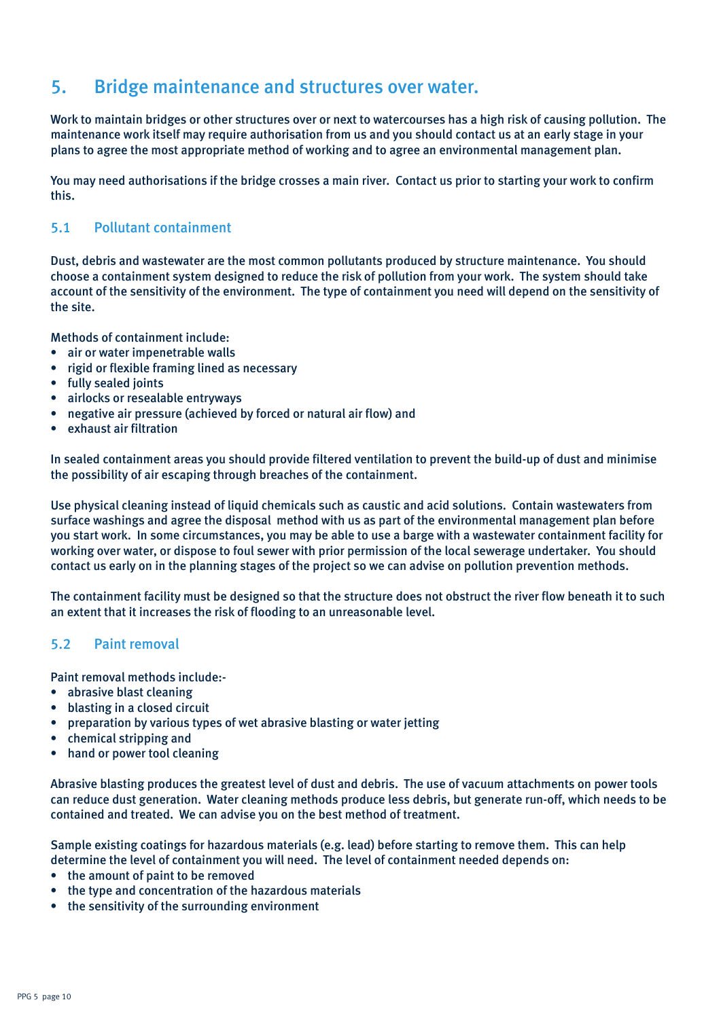## 5. Bridge maintenance and structures over water.

Work to maintain bridges or other structures over or next to watercourses has a high risk of causing pollution. The maintenance work itself may require authorisation from us and you should contact us at an early stage in your plans to agree the most appropriate method of working and to agree an environmental management plan.

You may need authorisations if the bridge crosses a main river. Contact us prior to starting your work to confirm this.

### 5.1 Pollutant containment

Dust, debris and wastewater are the most common pollutants produced by structure maintenance. You should choose a containment system designed to reduce the risk of pollution from your work. The system should take account of the sensitivity of the environment. The type of containment you need will depend on the sensitivity of the site.

Methods of containment include:

- air or water impenetrable walls
- rigid or flexible framing lined as necessary
- fully sealed joints
- airlocks or resealable entryways
- negative air pressure (achieved by forced or natural air flow) and
- exhaust air filtration

In sealed containment areas you should provide filtered ventilation to prevent the build-up of dust and minimise the possibility of air escaping through breaches of the containment.

Use physical cleaning instead of liquid chemicals such as caustic and acid solutions. Contain wastewaters from surface washings and agree the disposal method with us as part of the environmental management plan before you start work. In some circumstances, you may be able to use a barge with a wastewater containment facility for working over water, or dispose to foul sewer with prior permission of the local sewerage undertaker. You should contact us early on in the planning stages of the project so we can advise on pollution prevention methods.

The containment facility must be designed so that the structure does not obstruct the river flow beneath it to such an extent that it increases the risk of flooding to an unreasonable level.

### 5.2 Paint removal

Paint removal methods include:-

- abrasive blast cleaning
- blasting in a closed circuit
- preparation by various types of wet abrasive blasting or water jetting
- chemical stripping and
- hand or power tool cleaning

Abrasive blasting produces the greatest level of dust and debris. The use of vacuum attachments on power tools can reduce dust generation. Water cleaning methods produce less debris, but generate run-off, which needs to be contained and treated. We can advise you on the best method of treatment.

Sample existing coatings for hazardous materials (e.g. lead) before starting to remove them. This can help determine the level of containment you will need. The level of containment needed depends on:

- the amount of paint to be removed
- the type and concentration of the hazardous materials
- the sensitivity of the surrounding environment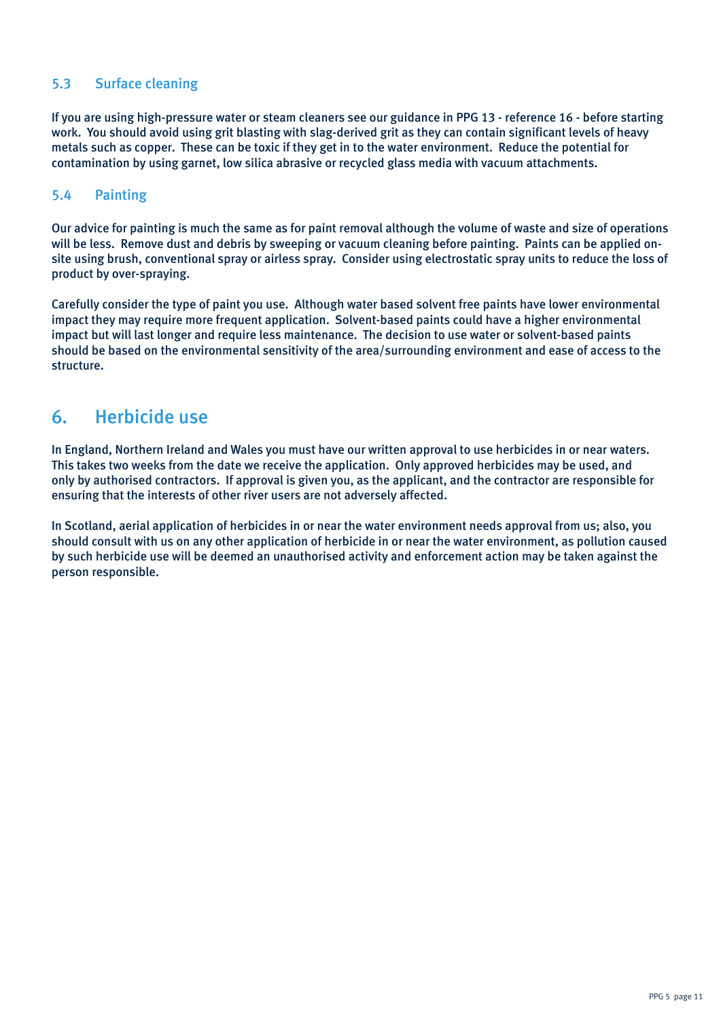## 5.3 Surface cleaning

If you are using high-pressure water or steam cleaners see our guidance in PPG 13 - reference 16 - before starting work. You should avoid using grit blasting with slag-derived grit as they can contain significant levels of heavy metals such as copper. These can be toxic if they get in to the water environment. Reduce the potential for contamination by using garnet, low silica abrasive or recycled glass media with vacuum attachments.

### 5.4 Painting

Our advice for painting is much the same as for paint removal although the volume of waste and size of operations will be less. Remove dust and debris by sweeping or vacuum cleaning before painting. Paints can be applied onsite using brush, conventional spray or airless spray. Consider using electrostatic spray units to reduce the loss of product by over-spraying.

Carefully consider the type of paint you use. Although water based solvent free paints have lower environmental impact they may require more frequent application. Solvent-based paints could have a higher environmental impact but will last longer and require less maintenance. The decision to use water or solvent-based paints should be based on the environmental sensitivity of the area/surrounding environment and ease of access to the structure.

## 6. Herbicide use

In England, Northern Ireland and Wales you must have our written approval to use herbicides in or near waters. This takes two weeks from the date we receive the application. Only approved herbicides may be used, and only by authorised contractors. If approval is given you, as the applicant, and the contractor are responsible for ensuring that the interests of other river users are not adversely affected.

In Scotland, aerial application of herbicides in or near the water environment needs approval from us; also, you should consult with us on any other application of herbicide in or near the water environment, as pollution caused by such herbicide use will be deemed an unauthorised activity and enforcement action may be taken against the person responsible.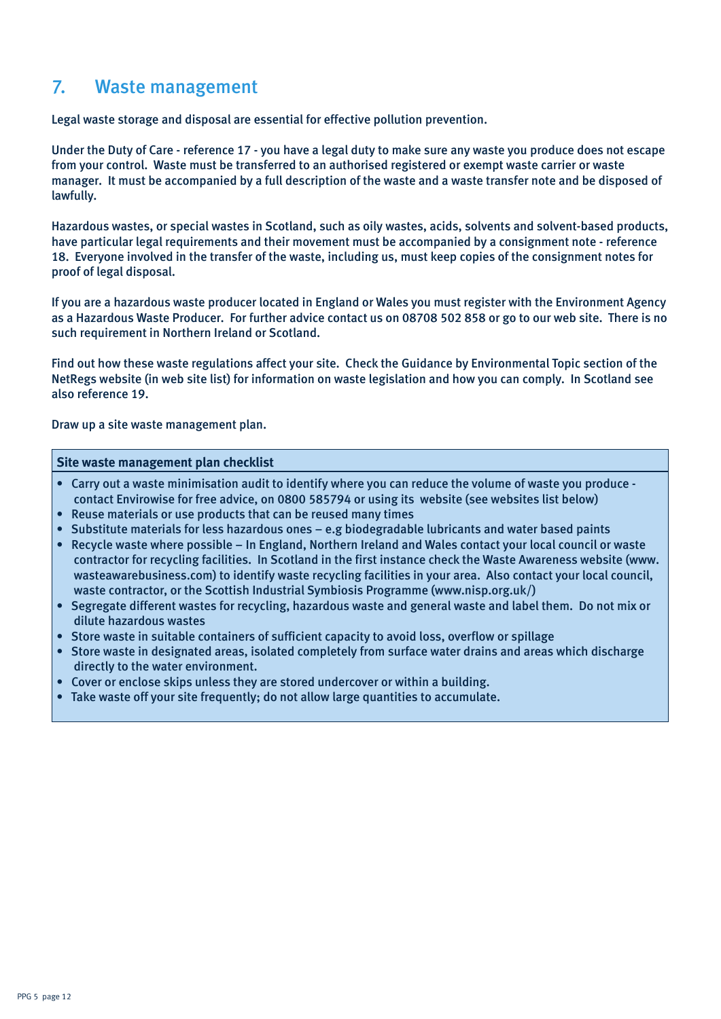## 7. Waste management

Legal waste storage and disposal are essential for effective pollution prevention.

Under the Duty of Care - reference 17 - you have a legal duty to make sure any waste you produce does not escape from your control. Waste must be transferred to an authorised registered or exempt waste carrier or waste manager. It must be accompanied by a full description of the waste and a waste transfer note and be disposed of lawfully.

Hazardous wastes, or special wastes in Scotland, such as oily wastes, acids, solvents and solvent-based products, have particular legal requirements and their movement must be accompanied by a consignment note - reference 18. Everyone involved in the transfer of the waste, including us, must keep copies of the consignment notes for proof of legal disposal.

If you are a hazardous waste producer located in England or Wales you must register with the Environment Agency as a Hazardous Waste Producer. For further advice contact us on 08708 502 858 or go to our web site. There is no such requirement in Northern Ireland or Scotland.

Find out how these waste regulations affect your site. Check the Guidance by Environmental Topic section of the NetRegs website (in web site list) for information on waste legislation and how you can comply. In Scotland see also reference 19.

Draw up a site waste management plan.

#### **Site waste management plan checklist**

- Carry out a waste minimisation audit to identify where you can reduce the volume of waste you produce contact Envirowise for free advice, on 0800 585794 or using its website (see websites list below)
- Reuse materials or use products that can be reused many times
- Substitute materials for less hazardous ones e.g biodegradable lubricants and water based paints
- Recycle waste where possible In England, Northern Ireland and Wales contact your local council or waste contractor for recycling facilities. In Scotland in the first instance check the Waste Awareness website (www. wasteawarebusiness.com) to identify waste recycling facilities in your area. Also contact your local council, waste contractor, or the Scottish Industrial Symbiosis Programme (www.nisp.org.uk/)
- Segregate different wastes for recycling, hazardous waste and general waste and label them. Do not mix or dilute hazardous wastes
- Store waste in suitable containers of sufficient capacity to avoid loss, overflow or spillage
- Store waste in designated areas, isolated completely from surface water drains and areas which discharge directly to the water environment.
- Cover or enclose skips unless they are stored undercover or within a building.
- Take waste off your site frequently; do not allow large quantities to accumulate.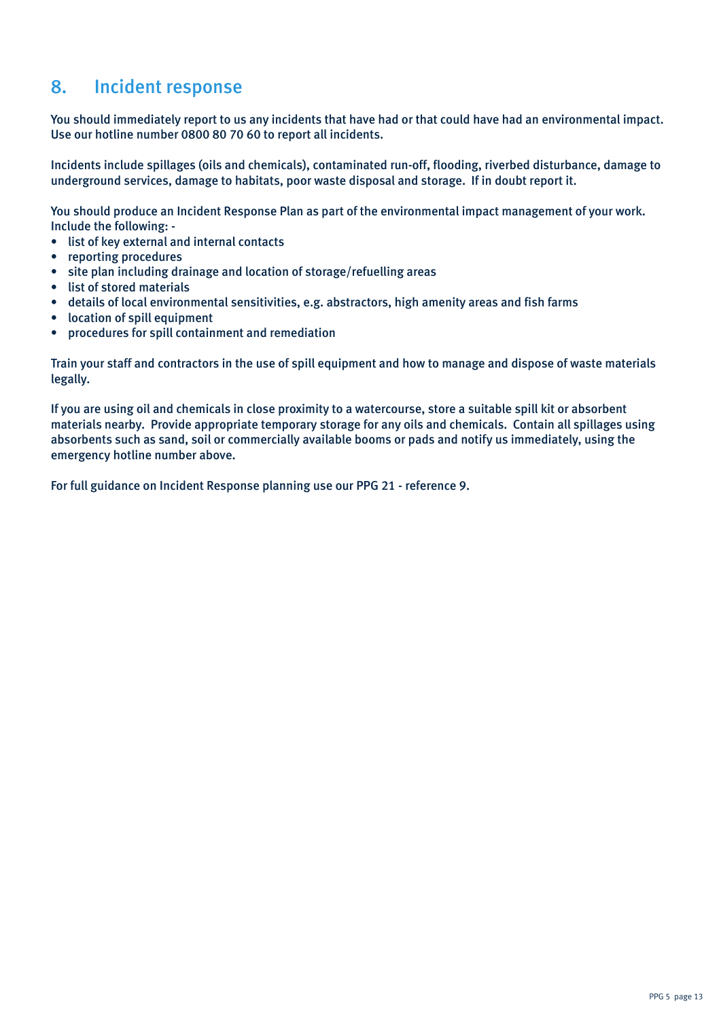## 8. Incident response

You should immediately report to us any incidents that have had or that could have had an environmental impact. Use our hotline number 0800 80 70 60 to report all incidents.

Incidents include spillages (oils and chemicals), contaminated run-off, flooding, riverbed disturbance, damage to underground services, damage to habitats, poor waste disposal and storage. If in doubt report it.

You should produce an Incident Response Plan as part of the environmental impact management of your work. Include the following: -

- list of key external and internal contacts
- reporting procedures
- site plan including drainage and location of storage/refuelling areas
- list of stored materials
- details of local environmental sensitivities, e.g. abstractors, high amenity areas and fish farms
- location of spill equipment
- procedures for spill containment and remediation

Train your staff and contractors in the use of spill equipment and how to manage and dispose of waste materials legally.

If you are using oil and chemicals in close proximity to a watercourse, store a suitable spill kit or absorbent materials nearby. Provide appropriate temporary storage for any oils and chemicals. Contain all spillages using absorbents such as sand, soil or commercially available booms or pads and notify us immediately, using the emergency hotline number above.

For full guidance on Incident Response planning use our PPG 21 - reference 9.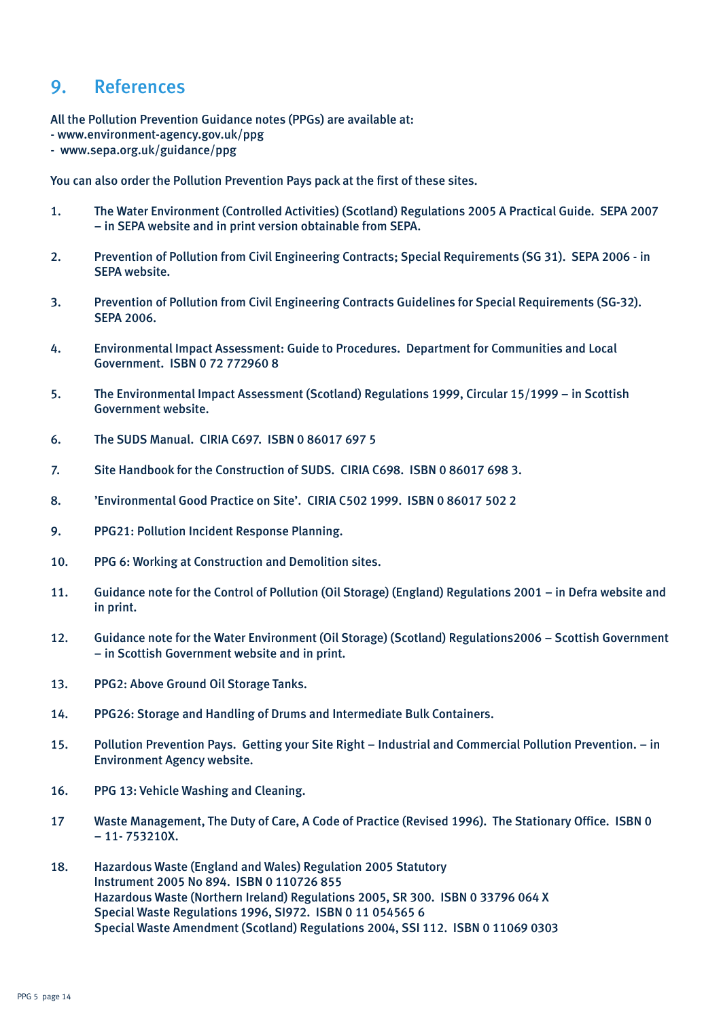## 9. References

All the Pollution Prevention Guidance notes (PPGs) are available at:

- www.environment-agency.gov.uk/ppg
- www.sepa.org.uk/guidance/ppg

You can also order the Pollution Prevention Pays pack at the first of these sites.

- 1. The Water Environment (Controlled Activities) (Scotland) Regulations 2005 A Practical Guide. SEPA 2007 – in SEPA website and in print version obtainable from SEPA.
- 2. Prevention of Pollution from Civil Engineering Contracts; Special Requirements (SG 31). SEPA 2006 in SEPA website.
- 3. Prevention of Pollution from Civil Engineering Contracts Guidelines for Special Requirements (SG-32). SEPA 2006.
- 4. Environmental Impact Assessment: Guide to Procedures. Department for Communities and Local Government. ISBN 0 72 772960 8
- 5. The Environmental Impact Assessment (Scotland) Regulations 1999, Circular 15/1999 in Scottish Government website.
- 6. The SUDS Manual. CIRIA C697. ISBN 0 86017 697 5
- 7. Site Handbook for the Construction of SUDS. CIRIA C698. ISBN 0 86017 698 3.
- 8. 'Environmental Good Practice on Site'. CIRIA C502 1999. ISBN 0 86017 502 2
- 9. PPG21: Pollution Incident Response Planning.
- 10. PPG 6: Working at Construction and Demolition sites.
- 11. Guidance note for the Control of Pollution (Oil Storage) (England) Regulations 2001 in Defra website and in print.
- 12. Guidance note for the Water Environment (Oil Storage) (Scotland) Regulations2006 Scottish Government – in Scottish Government website and in print.
- 13. PPG2: Above Ground Oil Storage Tanks.
- 14. PPG26: Storage and Handling of Drums and Intermediate Bulk Containers.
- 15. Pollution Prevention Pays. Getting your Site Right Industrial and Commercial Pollution Prevention. in Environment Agency website.
- 16. PPG 13: Vehicle Washing and Cleaning.
- 17 Waste Management, The Duty of Care, A Code of Practice (Revised 1996). The Stationary Office. ISBN 0 – 11- 753210X.
- 18. Hazardous Waste (England and Wales) Regulation 2005 Statutory Instrument 2005 No 894. ISBN 0 110726 855 Hazardous Waste (Northern Ireland) Regulations 2005, SR 300. ISBN 0 33796 064 X Special Waste Regulations 1996, SI972. ISBN 0 11 054565 6 Special Waste Amendment (Scotland) Regulations 2004, SSI 112. ISBN 0 11069 0303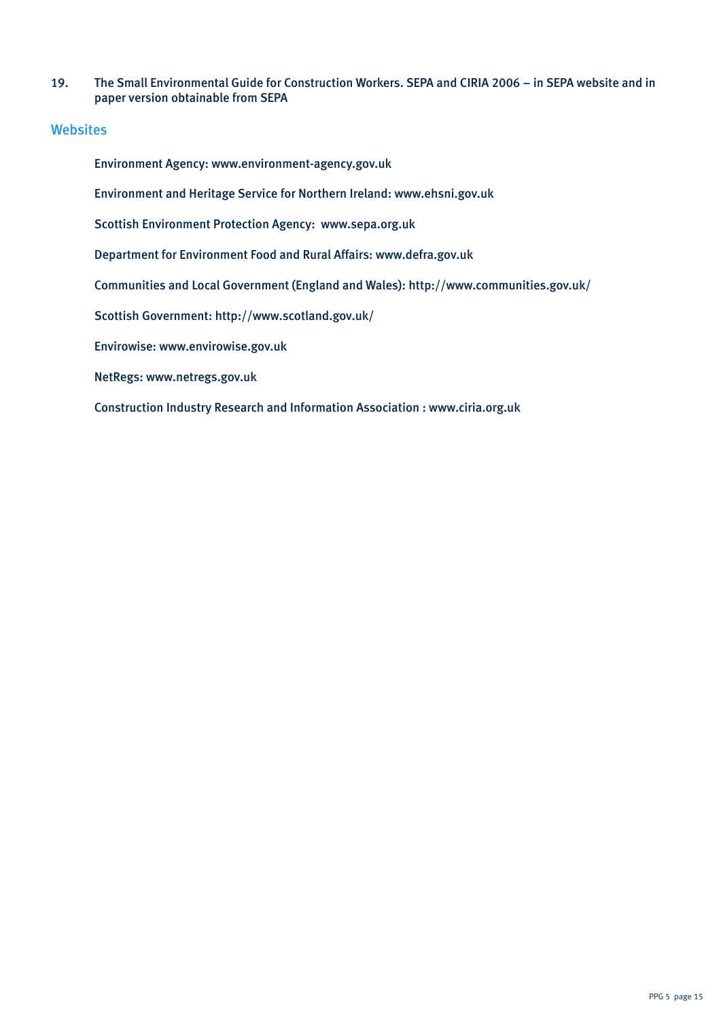19. The Small Environmental Guide for Construction Workers. SEPA and CIRIA 2006 – in SEPA website and in paper version obtainable from SEPA

### **Websites**

Environment Agency: www.environment-agency.gov.uk

Environment and Heritage Service for Northern Ireland: www.ehsni.gov.uk

Scottish Environment Protection Agency: www.sepa.org.uk

Department for Environment Food and Rural Affairs: www.defra.gov.uk

Communities and Local Government (England and Wales): http://www.communities.gov.uk/

Scottish Government: http://www.scotland.gov.uk/

Envirowise: www.envirowise.gov.uk

NetRegs: www.netregs.gov.uk

Construction Industry Research and Information Association : www.ciria.org.uk